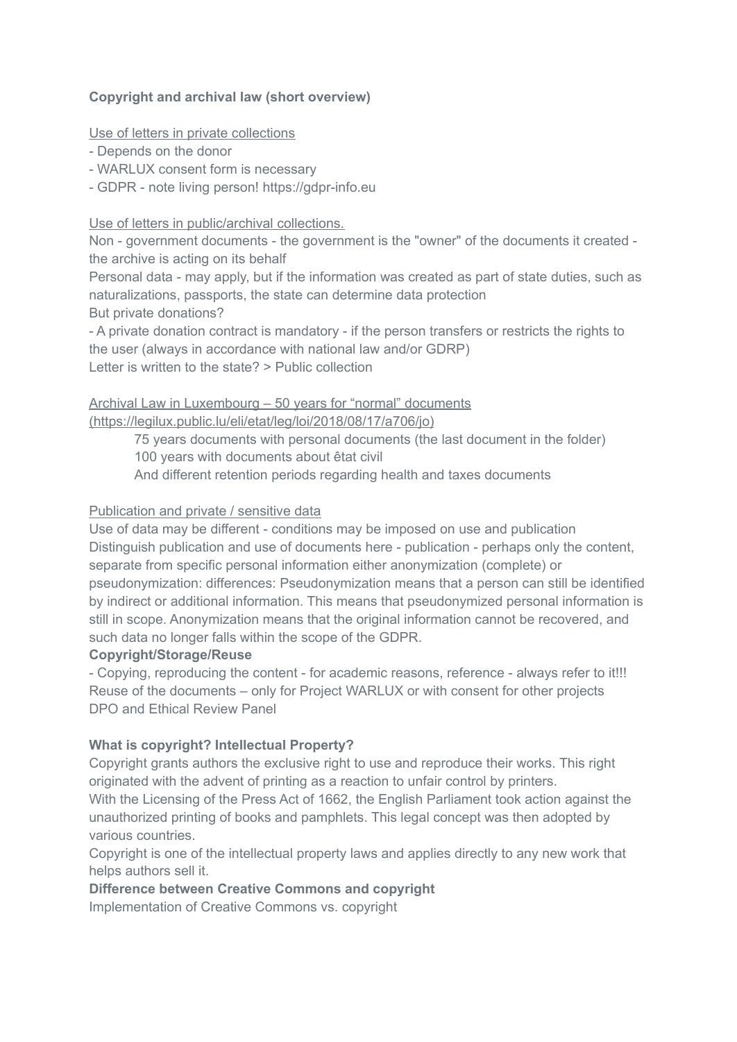## **Copyright and archival law (short overview)**

Use of letters in private collections

- Depends on the donor

- WARLUX consent form is necessary

- GDPR - note living person! https://gdpr-info.eu

Use of letters in public/archival collections.

Non - government documents - the government is the "owner" of the documents it created the archive is acting on its behalf

Personal data - may apply, but if the information was created as part of state duties, such as naturalizations, passports, the state can determine data protection But private donations?

- A private donation contract is mandatory - if the person transfers or restricts the rights to the user (always in accordance with national law and/or GDRP) Letter is written to the state? > Public collection

# Archival Law in Luxembourg – 50 years for "normal" documents

(https://legilux.public.lu/eli/etat/leg/loi/2018/08/17/a706/jo)

75 years documents with personal documents (the last document in the folder)

100 years with documents about êtat civil

And different retention periods regarding health and taxes documents

## Publication and private / sensitive data

Use of data may be different - conditions may be imposed on use and publication Distinguish publication and use of documents here - publication - perhaps only the content, separate from specific personal information either anonymization (complete) or pseudonymization: differences: Pseudonymization means that a person can still be identified by indirect or additional information. This means that pseudonymized personal information is still in scope. Anonymization means that the original information cannot be recovered, and such data no longer falls within the scope of the GDPR.

## **Copyright/Storage/Reuse**

- Copying, reproducing the content - for academic reasons, reference - always refer to it!!! Reuse of the documents – only for Project WARLUX or with consent for other projects DPO and Ethical Review Panel

## **What is copyright? Intellectual Property?**

Copyright grants authors the exclusive right to use and reproduce their works. This right originated with the advent of printing as a reaction to unfair control by printers.

With the Licensing of the Press Act of 1662, the English Parliament took action against the unauthorized printing of books and pamphlets. This legal concept was then adopted by various countries.

Copyright is one of the intellectual property laws and applies directly to any new work that helps authors sell it.

## **Difference between Creative Commons and copyright**

Implementation of Creative Commons vs. copyright